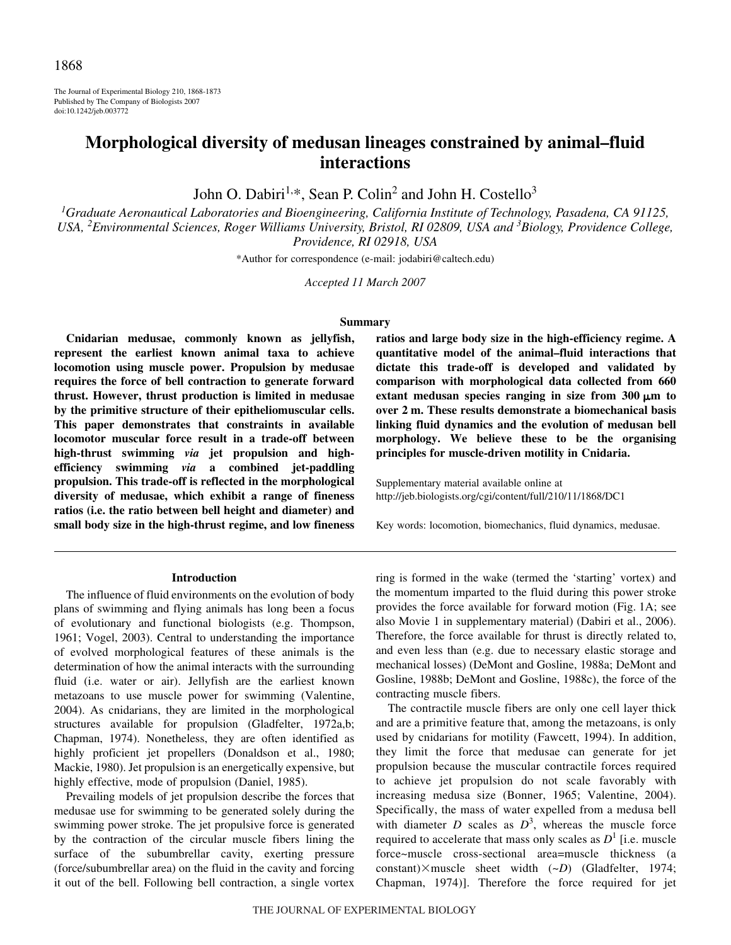The Journal of Experimental Biology 210, 1868-1873 Published by The Company of Biologists 2007 doi:10.1242/jeb.003772

# **Morphological diversity of medusan lineages constrained by animal–fluid interactions**

John O. Dabiri<sup>1,\*</sup>, Sean P. Colin<sup>2</sup> and John H. Costello<sup>3</sup>

*1 Graduate Aeronautical Laboratories and Bioengineering, California Institute of Technology, Pasadena, CA 91125, USA, <sup>2</sup> Environmental Sciences, Roger Williams University, Bristol, RI 02809, USA and <sup>3</sup> Biology, Providence College, Providence, RI 02918, USA*

\*Author for correspondence (e-mail: jodabiri@caltech.edu)

*Accepted 11 March 2007*

## **Summary**

**Cnidarian medusae, commonly known as jellyfish, represent the earliest known animal taxa to achieve locomotion using muscle power. Propulsion by medusae requires the force of bell contraction to generate forward thrust. However, thrust production is limited in medusae by the primitive structure of their epitheliomuscular cells. This paper demonstrates that constraints in available locomotor muscular force result in a trade-off between high-thrust swimming** *via* **jet propulsion and highefficiency swimming** *via* **a combined jet-paddling propulsion. This trade-off is reflected in the morphological diversity of medusae, which exhibit a range of fineness ratios (i.e. the ratio between bell height and diameter) and small body size in the high-thrust regime, and low fineness**

## **Introduction**

The influence of fluid environments on the evolution of body plans of swimming and flying animals has long been a focus of evolutionary and functional biologists (e.g. Thompson, 1961; Vogel, 2003). Central to understanding the importance of evolved morphological features of these animals is the determination of how the animal interacts with the surrounding fluid (i.e. water or air). Jellyfish are the earliest known metazoans to use muscle power for swimming (Valentine, 2004). As cnidarians, they are limited in the morphological structures available for propulsion (Gladfelter, 1972a,b; Chapman, 1974). Nonetheless, they are often identified as highly proficient jet propellers (Donaldson et al., 1980; Mackie, 1980). Jet propulsion is an energetically expensive, but highly effective, mode of propulsion (Daniel, 1985).

Prevailing models of jet propulsion describe the forces that medusae use for swimming to be generated solely during the swimming power stroke. The jet propulsive force is generated by the contraction of the circular muscle fibers lining the surface of the subumbrellar cavity, exerting pressure (force/subumbrellar area) on the fluid in the cavity and forcing it out of the bell. Following bell contraction, a single vortex **ratios and large body size in the high-efficiency regime. A quantitative model of the animal–fluid interactions that dictate this trade-off is developed and validated by comparison with morphological data collected from 660** extant medusan species ranging in size from  $300 \mu m$  to **over 2 m. These results demonstrate a biomechanical basis linking fluid dynamics and the evolution of medusan bell morphology. We believe these to be the organising principles for muscle-driven motility in Cnidaria.**

Supplementary material available online at http://jeb.biologists.org/cgi/content/full/210/11/1868/DC1

Key words: locomotion, biomechanics, fluid dynamics, medusae.

ring is formed in the wake (termed the 'starting' vortex) and the momentum imparted to the fluid during this power stroke provides the force available for forward motion (Fig. 1A; see also Movie 1 in supplementary material) (Dabiri et al., 2006). Therefore, the force available for thrust is directly related to, and even less than (e.g. due to necessary elastic storage and mechanical losses) (DeMont and Gosline, 1988a; DeMont and Gosline, 1988b; DeMont and Gosline, 1988c), the force of the contracting muscle fibers.

The contractile muscle fibers are only one cell layer thick and are a primitive feature that, among the metazoans, is only used by cnidarians for motility (Fawcett, 1994). In addition, they limit the force that medusae can generate for jet propulsion because the muscular contractile forces required to achieve jet propulsion do not scale favorably with increasing medusa size (Bonner, 1965; Valentine, 2004). Specifically, the mass of water expelled from a medusa bell with diameter  $D$  scales as  $D^3$ , whereas the muscle force required to accelerate that mass only scales as  $D<sup>1</sup>$  [i.e. muscle force~muscle cross-sectional area=muscle thickness (a constant)×muscle sheet width (~*D*) (Gladfelter, 1974; Chapman, 1974)]. Therefore the force required for jet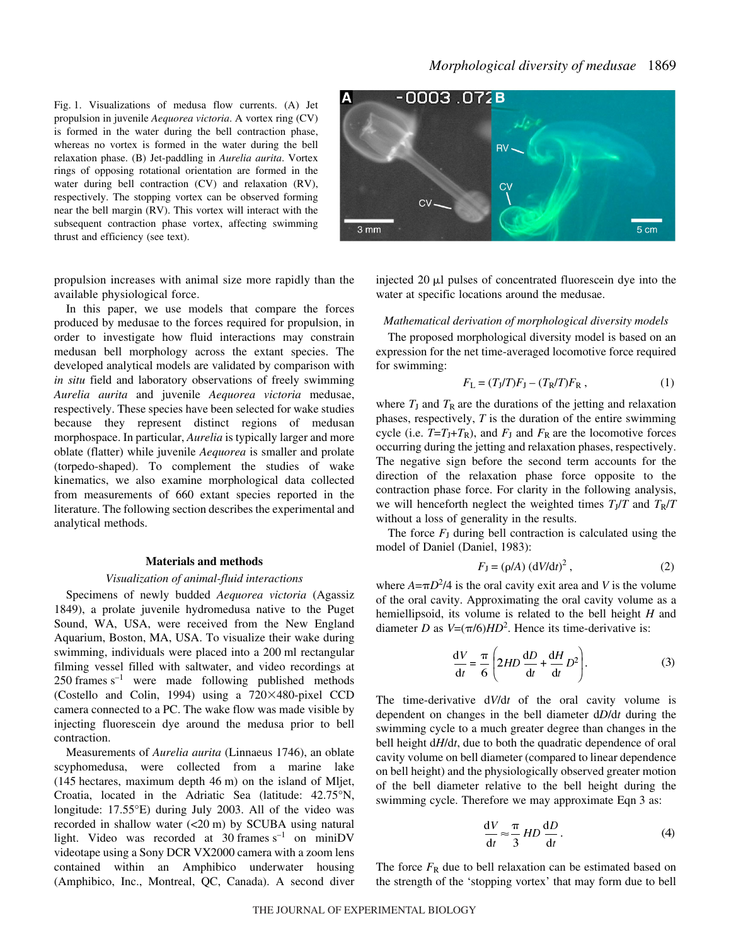Fig. 1. Visualizations of medusa flow currents. (A) Jet propulsion in juvenile *Aequorea victoria*. A vortex ring (CV) is formed in the water during the bell contraction phase, whereas no vortex is formed in the water during the bell relaxation phase. (B) Jet-paddling in *Aurelia aurita*. Vortex rings of opposing rotational orientation are formed in the water during bell contraction (CV) and relaxation (RV), respectively. The stopping vortex can be observed forming near the bell margin (RV). This vortex will interact with the subsequent contraction phase vortex, affecting swimming thrust and efficiency (see text).

propulsion increases with animal size more rapidly than the available physiological force.

In this paper, we use models that compare the forces produced by medusae to the forces required for propulsion, in order to investigate how fluid interactions may constrain medusan bell morphology across the extant species. The developed analytical models are validated by comparison with *in situ* field and laboratory observations of freely swimming *Aurelia aurita* and juvenile *Aequorea victoria* medusae, respectively. These species have been selected for wake studies because they represent distinct regions of medusan morphospace. In particular, *Aurelia* is typically larger and more oblate (flatter) while juvenile *Aequorea* is smaller and prolate (torpedo-shaped). To complement the studies of wake kinematics, we also examine morphological data collected from measurements of 660 extant species reported in the literature. The following section describes the experimental and analytical methods.

## **Materials and methods**

## *Visualization of animal-fluid interactions*

Specimens of newly budded *Aequorea victoria* (Agassiz 1849), a prolate juvenile hydromedusa native to the Puget Sound, WA, USA, were received from the New England Aquarium, Boston, MA, USA. To visualize their wake during swimming, individuals were placed into a 200 ml rectangular filming vessel filled with saltwater, and video recordings at  $250$  frames s<sup>-1</sup> were made following published methods (Costello and Colin, 1994) using a  $720\times480$ -pixel CCD camera connected to a PC. The wake flow was made visible by injecting fluorescein dye around the medusa prior to bell contraction.

Measurements of *Aurelia aurita* (Linnaeus 1746), an oblate scyphomedusa, were collected from a marine lake  $(145$  hectares, maximum depth  $46$  m) on the island of Mljet, Croatia, located in the Adriatic Sea (latitude: 42.75°N, longitude: 17.55°E) during July 2003. All of the video was recorded in shallow water  $(<20 \text{ m})$  by SCUBA using natural light. Video was recorded at 30 frames  $s^{-1}$  on miniDV videotape using a Sony DCR VX2000 camera with a zoom lens contained within an Amphibico underwater housing (Amphibico, Inc., Montreal, QC, Canada). A second diver



injected 20  $\mu$ l pulses of concentrated fluorescein dye into the water at specific locations around the medusae.

## *Mathematical derivation of morphological diversity models*

The proposed morphological diversity model is based on an expression for the net time-averaged locomotive force required for swimming:

$$
F_{\rm L} = (T_{\rm J}/T)F_{\rm J} - (T_{\rm R}/T)F_{\rm R} \,,\tag{1}
$$

where  $T_J$  and  $T_R$  are the durations of the jetting and relaxation phases, respectively, *T* is the duration of the entire swimming cycle (i.e.  $T=T_J+T_R$ ), and  $F_J$  and  $F_R$  are the locomotive forces occurring during the jetting and relaxation phases, respectively. The negative sign before the second term accounts for the direction of the relaxation phase force opposite to the contraction phase force. For clarity in the following analysis, we will henceforth neglect the weighted times  $T_J/T$  and  $T_R/T$ without a loss of generality in the results.

The force  $F<sub>J</sub>$  during bell contraction is calculated using the model of Daniel (Daniel, 1983):

$$
F_{\mathbf{J}} = (\rho/A) \left(\frac{dV}{dt}\right)^2, \tag{2}
$$

where  $A = \pi D^2/4$  is the oral cavity exit area and *V* is the volume of the oral cavity. Approximating the oral cavity volume as a hemiellipsoid, its volume is related to the bell height *H* and diameter *D* as  $V=(\pi/6)HD^2$ . Hence its time-derivative is:

$$
\frac{dV}{dt} = \frac{\pi}{6} \left( 2HD \frac{dD}{dt} + \frac{dH}{dt} D^2 \right).
$$
 (3)

The time-derivative d*V*/d*t* of the oral cavity volume is dependent on changes in the bell diameter d*D*/d*t* during the swimming cycle to a much greater degree than changes in the bell height d*H*/d*t*, due to both the quadratic dependence of oral cavity volume on bell diameter (compared to linear dependence on bell height) and the physiologically observed greater motion of the bell diameter relative to the bell height during the swimming cycle. Therefore we may approximate Eqn 3 as:

$$
\frac{dV}{dt} \approx \frac{\pi}{3} HD \frac{dD}{dt}.
$$
 (4)

The force  $F_R$  due to bell relaxation can be estimated based on the strength of the 'stopping vortex' that may form due to bell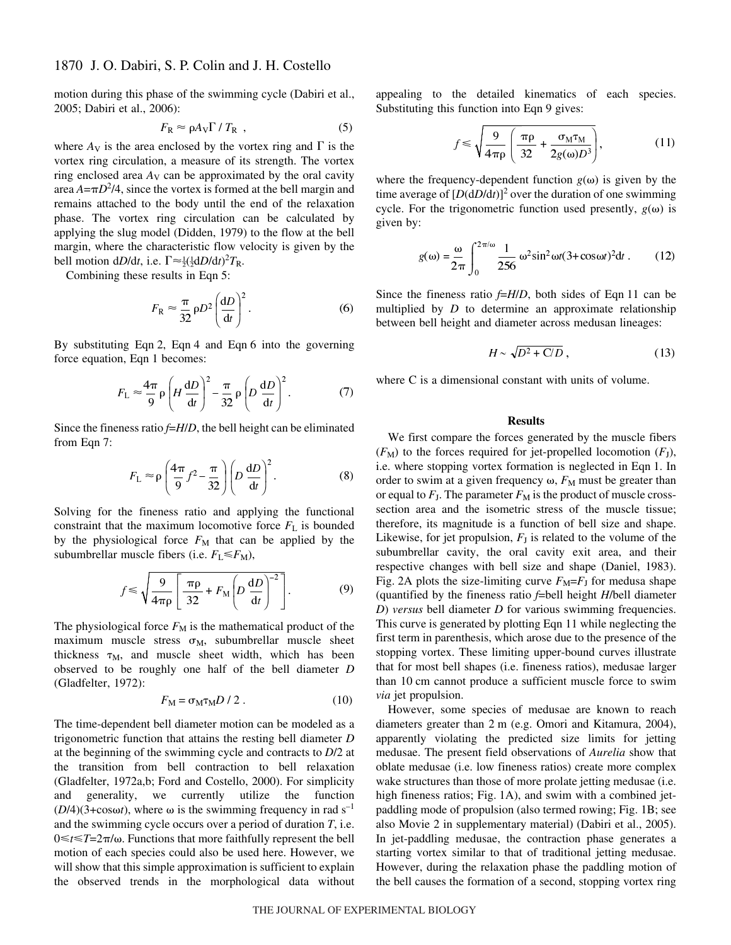# 1870 J. O. Dabiri, S. P. Colin and J. H. Costello

motion during this phase of the swimming cycle (Dabiri et al., 2005; Dabiri et al., 2006):

$$
F_{\rm R} \approx \rho A_{\rm V} \Gamma / T_{\rm R} \tag{5}
$$

where  $A_V$  is the area enclosed by the vortex ring and  $\Gamma$  is the vortex ring circulation, a measure of its strength. The vortex ring enclosed area  $A_V$  can be approximated by the oral cavity area  $A = \pi D^2/4$ , since the vortex is formed at the bell margin and remains attached to the body until the end of the relaxation phase. The vortex ring circulation can be calculated by applying the slug model (Didden, 1979) to the flow at the bell margin, where the characteristic flow velocity is given by the bell motion  $dD/dt$ , i.e.  $\Gamma \approx \frac{1}{2} (\frac{1}{2} dD/dt)^2 T_R$ .

Combining these results in Eqn 5:

$$
F_{\rm R} \approx \frac{\pi}{32} \rho D^2 \left(\frac{\mathrm{d}D}{\mathrm{d}t}\right)^2.
$$
 (6)

By substituting Eqn 2, Eqn 4 and Eqn 6 into the governing force equation, Eqn 1 becomes:

$$
F_{\rm L} \approx \frac{4\pi}{9} \rho \left( H \frac{\mathrm{d}D}{\mathrm{d}t} \right)^2 - \frac{\pi}{32} \rho \left( D \frac{\mathrm{d}D}{\mathrm{d}t} \right)^2. \tag{7}
$$

Since the fineness ratio *f*=*H*/*D*, the bell height can be eliminated from Eqn 7:

$$
F_{\rm L} \approx \rho \left( \frac{4\pi}{9} f^2 - \frac{\pi}{32} \right) \left( D \frac{\mathrm{d}D}{\mathrm{d}t} \right)^2. \tag{8}
$$

Solving for the fineness ratio and applying the functional constraint that the maximum locomotive force  $F<sub>L</sub>$  is bounded by the physiological force  $F<sub>M</sub>$  that can be applied by the subumbrellar muscle fibers (i.e.  $F_L \leq F_M$ ),

$$
f \le \sqrt{\frac{9}{4\pi\rho}} \left[ \frac{\pi\rho}{32} + F_M \left( D \frac{dD}{dt} \right)^{-2} \right].
$$
 (9)

The physiological force  $F_M$  is the mathematical product of the maximum muscle stress  $\sigma_M$ , subumbrellar muscle sheet thickness  $\tau_M$ , and muscle sheet width, which has been observed to be roughly one half of the bell diameter *D* (Gladfelter, 1972):

$$
F_{\rm M} = \sigma_{\rm M} \tau_{\rm M} D / 2 \,. \tag{10}
$$

The time-dependent bell diameter motion can be modeled as a trigonometric function that attains the resting bell diameter *D* at the beginning of the swimming cycle and contracts to *D*/2 at the transition from bell contraction to bell relaxation (Gladfelter, 1972a,b; Ford and Costello, 2000). For simplicity and generality, we currently utilize the function  $(D/4)(3+\cos\omega t)$ , where  $\omega$  is the swimming frequency in rad s<sup>-1</sup> and the swimming cycle occurs over a period of duration *T*, i.e.  $0 \le t \le T = 2\pi/\omega$ . Functions that more faithfully represent the bell motion of each species could also be used here. However, we will show that this simple approximation is sufficient to explain the observed trends in the morphological data without appealing to the detailed kinematics of each species. Substituting this function into Eqn 9 gives:

$$
f \le \sqrt{\frac{9}{4\pi\rho} \left(\frac{\pi\rho}{32} + \frac{\sigma_M \tau_M}{2g(\omega)D^3}\right)},
$$
 (11)

where the frequency-dependent function  $g(\omega)$  is given by the time average of  $[D(dD/dt)]^2$  over the duration of one swimming cycle. For the trigonometric function used presently,  $g(\omega)$  is given by:

$$
g(\omega) = \frac{\omega}{2\pi} \int_0^{2\pi/\omega} \frac{1}{256} \omega^2 \sin^2 \omega t (3 + \cos \omega t)^2 dt.
$$
 (12)

Since the fineness ratio  $f=H/D$ , both sides of Eqn 11 can be multiplied by *D* to determine an approximate relationship between bell height and diameter across medusan lineages:

$$
H \sim \sqrt{D^2 + C/D} \,,\tag{13}
$$

where C is a dimensional constant with units of volume.

### **Results**

We first compare the forces generated by the muscle fibers  $(F_M)$  to the forces required for jet-propelled locomotion  $(F_J)$ , i.e. where stopping vortex formation is neglected in Eqn 1. In order to swim at a given frequency  $\omega$ ,  $F_M$  must be greater than or equal to  $F_J$ . The parameter  $F_M$  is the product of muscle crosssection area and the isometric stress of the muscle tissue; therefore, its magnitude is a function of bell size and shape. Likewise, for jet propulsion,  $F<sub>J</sub>$  is related to the volume of the subumbrellar cavity, the oral cavity exit area, and their respective changes with bell size and shape (Daniel, 1983). Fig. 2A plots the size-limiting curve  $F_M = F_J$  for medusa shape (quantified by the fineness ratio *f*=bell height *H*/bell diameter *D*) *versus* bell diameter *D* for various swimming frequencies. This curve is generated by plotting Eqn 11 while neglecting the first term in parenthesis, which arose due to the presence of the stopping vortex. These limiting upper-bound curves illustrate that for most bell shapes (i.e. fineness ratios), medusae larger than 10 cm cannot produce a sufficient muscle force to swim *via* jet propulsion.

However, some species of medusae are known to reach diameters greater than  $2 \text{ m}$  (e.g. Omori and Kitamura, 2004), apparently violating the predicted size limits for jetting medusae. The present field observations of *Aurelia* show that oblate medusae (i.e. low fineness ratios) create more complex wake structures than those of more prolate jetting medusae (i.e. high fineness ratios; Fig.  $1A$ ), and swim with a combined jetpaddling mode of propulsion (also termed rowing; Fig. 1B; see also Movie 2 in supplementary material) (Dabiri et al., 2005). In jet-paddling medusae, the contraction phase generates a starting vortex similar to that of traditional jetting medusae. However, during the relaxation phase the paddling motion of the bell causes the formation of a second, stopping vortex ring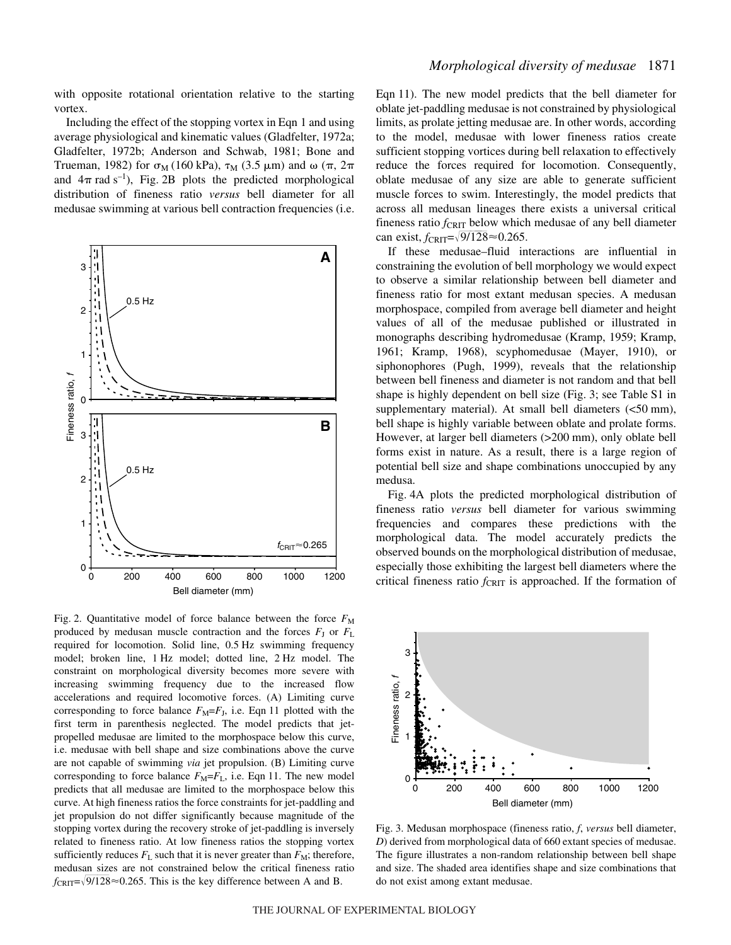with opposite rotational orientation relative to the starting vortex.

Including the effect of the stopping vortex in Eqn 1 and using average physiological and kinematic values (Gladfelter, 1972a; Gladfelter, 1972b; Anderson and Schwab, 1981; Bone and Trueman, 1982) for  $\sigma_M$  (160 kPa),  $\tau_M$  (3.5  $\mu$ m) and  $\omega$  ( $\pi$ ,  $2\pi$ and  $4\pi$  rad s<sup>-1</sup>), Fig. 2B plots the predicted morphological distribution of fineness ratio *versus* bell diameter for all medusae swimming at various bell contraction frequencies (i.e.



Fig. 2. Quantitative model of force balance between the force  $F_M$ produced by medusan muscle contraction and the forces  $F<sub>J</sub>$  or  $F<sub>L</sub>$ required for locomotion. Solid line, 0.5 Hz swimming frequency model; broken line, 1 Hz model; dotted line, 2 Hz model. The constraint on morphological diversity becomes more severe with increasing swimming frequency due to the increased flow accelerations and required locomotive forces. (A) Limiting curve corresponding to force balance  $F_M = F_J$ , i.e. Eqn 11 plotted with the first term in parenthesis neglected. The model predicts that jetpropelled medusae are limited to the morphospace below this curve, i.e. medusae with bell shape and size combinations above the curve are not capable of swimming *via* jet propulsion. (B) Limiting curve corresponding to force balance  $F_M = F_L$ , i.e. Eqn 11. The new model predicts that all medusae are limited to the morphospace below this curve. At high fineness ratios the force constraints for jet-paddling and jet propulsion do not differ significantly because magnitude of the stopping vortex during the recovery stroke of jet-paddling is inversely related to fineness ratio. At low fineness ratios the stopping vortex sufficiently reduces  $F_L$  such that it is never greater than  $F_M$ ; therefore, medusan sizes are not constrained below the critical fineness ratio  $f_{\text{CRIT}} = \sqrt{9/128} \approx 0.265$ . This is the key difference between A and B.

Eqn 11). The new model predicts that the bell diameter for oblate jet-paddling medusae is not constrained by physiological limits, as prolate jetting medusae are. In other words, according to the model, medusae with lower fineness ratios create sufficient stopping vortices during bell relaxation to effectively reduce the forces required for locomotion. Consequently, oblate medusae of any size are able to generate sufficient muscle forces to swim. Interestingly, the model predicts that across all medusan lineages there exists a universal critical fineness ratio  $f_{\text{CRIT}}$  below which medusae of any bell diameter can exist,  $f_{\text{CRIT}} = \sqrt{9/128} \approx 0.265$ .

If these medusae–fluid interactions are influential in constraining the evolution of bell morphology we would expect to observe a similar relationship between bell diameter and fineness ratio for most extant medusan species. A medusan morphospace, compiled from average bell diameter and height values of all of the medusae published or illustrated in monographs describing hydromedusae (Kramp, 1959; Kramp, 1961; Kramp, 1968), scyphomedusae (Mayer, 1910), or siphonophores (Pugh, 1999), reveals that the relationship between bell fineness and diameter is not random and that bell shape is highly dependent on bell size (Fig. 3; see Table S1 in supplementary material). At small bell diameters  $\langle$  <50 mm), bell shape is highly variable between oblate and prolate forms. However, at larger bell diameters (>200 mm), only oblate bell forms exist in nature. As a result, there is a large region of potential bell size and shape combinations unoccupied by any medusa.

Fig. 4A plots the predicted morphological distribution of fineness ratio *versus* bell diameter for various swimming frequencies and compares these predictions with the morphological data. The model accurately predicts the observed bounds on the morphological distribution of medusae, especially those exhibiting the largest bell diameters where the critical fineness ratio  $f_{\text{CRIT}}$  is approached. If the formation of



Fig. 3. Medusan morphospace (fineness ratio, *f*, *versus* bell diameter, *D*) derived from morphological data of 660 extant species of medusae. The figure illustrates a non-random relationship between bell shape and size. The shaded area identifies shape and size combinations that do not exist among extant medusae.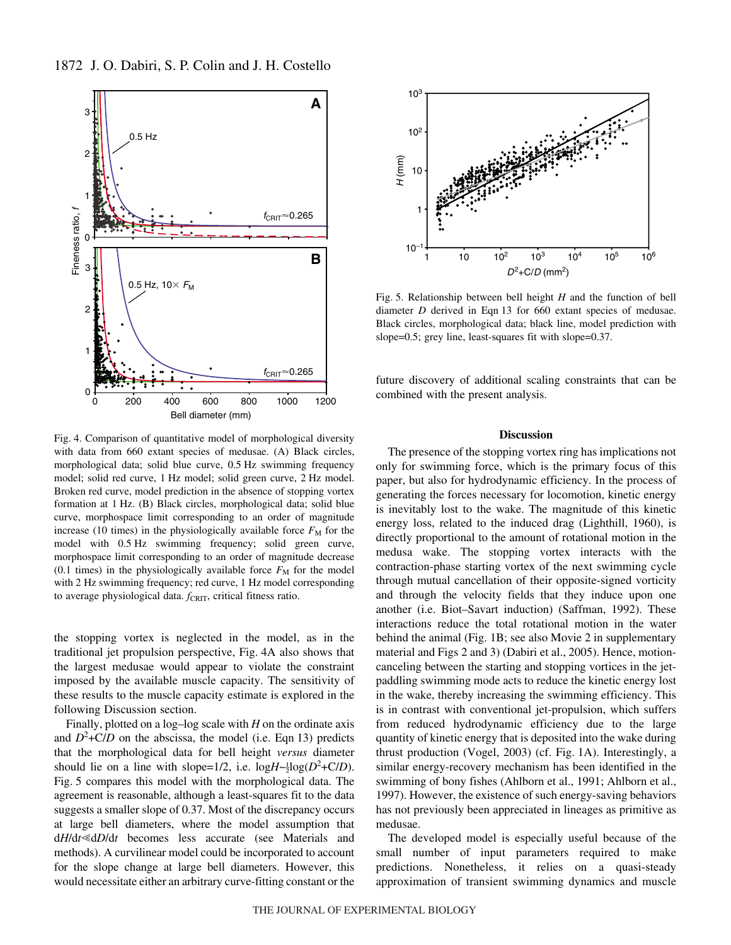

Fig. 4. Comparison of quantitative model of morphological diversity with data from 660 extant species of medusae. (A) Black circles, morphological data; solid blue curve, 0.5 Hz swimming frequency model; solid red curve, 1 Hz model; solid green curve, 2 Hz model. Broken red curve, model prediction in the absence of stopping vortex formation at 1 Hz. (B) Black circles, morphological data; solid blue curve, morphospace limit corresponding to an order of magnitude increase (10 times) in the physiologically available force  $F_M$  for the model with 0.5 Hz swimming frequency; solid green curve, morphospace limit corresponding to an order of magnitude decrease (0.1 times) in the physiologically available force  $F<sub>M</sub>$  for the model with 2 Hz swimming frequency; red curve, 1 Hz model corresponding to average physiological data. *f*<sub>CRIT</sub>, critical fitness ratio.

the stopping vortex is neglected in the model, as in the traditional jet propulsion perspective, Fig. 4A also shows that the largest medusae would appear to violate the constraint imposed by the available muscle capacity. The sensitivity of these results to the muscle capacity estimate is explored in the following Discussion section.

Finally, plotted on a log–log scale with *H* on the ordinate axis and  $D^2$ +C/*D* on the abscissa, the model (i.e. Eqn 13) predicts that the morphological data for bell height *versus* diameter should lie on a line with slope= $1/2$ , i.e.  $log H \sim \frac{1}{2} log(D^2 + C/D)$ . Fig. 5 compares this model with the morphological data. The agreement is reasonable, although a least-squares fit to the data suggests a smaller slope of 0.37. Most of the discrepancy occurs at large bell diameters, where the model assumption that d*H*/dt <dD/dt becomes less accurate (see Materials and methods). A curvilinear model could be incorporated to account for the slope change at large bell diameters. However, this would necessitate either an arbitrary curve-fitting constant or the



Fig. 5. Relationship between bell height  $H$  and the function of bell diameter *D* derived in Eqn 13 for 660 extant species of medusae. Black circles, morphological data; black line, model prediction with slope=0.5; grey line, least-squares fit with slope=0.37.

future discovery of additional scaling constraints that can be combined with the present analysis.

## **Discussion**

The presence of the stopping vortex ring has implications not only for swimming force, which is the primary focus of this paper, but also for hydrodynamic efficiency. In the process of generating the forces necessary for locomotion, kinetic energy is inevitably lost to the wake. The magnitude of this kinetic energy loss, related to the induced drag (Lighthill, 1960), is directly proportional to the amount of rotational motion in the medusa wake. The stopping vortex interacts with the contraction-phase starting vortex of the next swimming cycle through mutual cancellation of their opposite-signed vorticity and through the velocity fields that they induce upon one another (i.e. Biot–Savart induction) (Saffman, 1992). These interactions reduce the total rotational motion in the water behind the animal (Fig. 1B; see also Movie 2 in supplementary material and Figs 2 and 3) (Dabiri et al., 2005). Hence, motioncanceling between the starting and stopping vortices in the jetpaddling swimming mode acts to reduce the kinetic energy lost in the wake, thereby increasing the swimming efficiency. This is in contrast with conventional jet-propulsion, which suffers from reduced hydrodynamic efficiency due to the large quantity of kinetic energy that is deposited into the wake during thrust production (Vogel, 2003) (cf. Fig. 1A). Interestingly, a similar energy-recovery mechanism has been identified in the swimming of bony fishes (Ahlborn et al., 1991; Ahlborn et al., 1997). However, the existence of such energy-saving behaviors has not previously been appreciated in lineages as primitive as medusae.

The developed model is especially useful because of the small number of input parameters required to make predictions. Nonetheless, it relies on a quasi-steady approximation of transient swimming dynamics and muscle